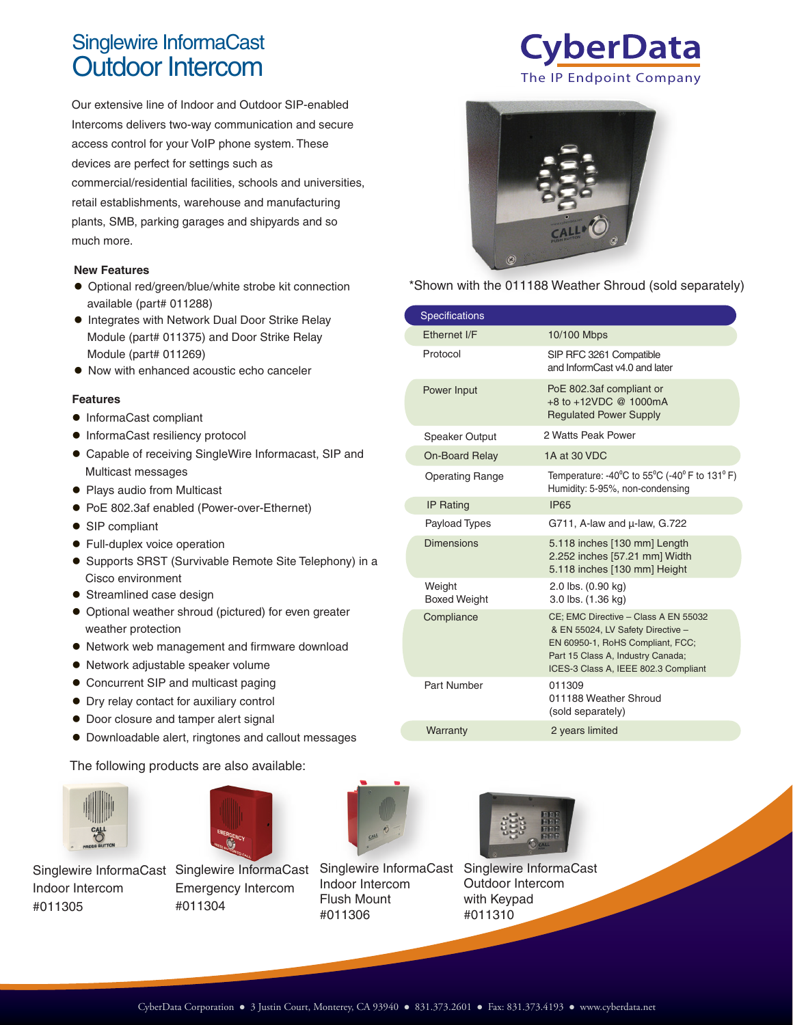# Singlewire InformaCast

Our extensive line of Indoor and Outdoor SIP-enabled Intercoms delivers two-way communication and secure access control for your VoIP phone system. These devices are perfect for settings such as commercial/residential facilities, schools and universities, retail establishments, warehouse and manufacturing plants, SMB, parking garages and shipyards and so much more.

#### **New Features**

- Optional red/green/blue/white strobe kit connection available (part# 011288)
- **Integrates with Network Dual Door Strike Relay** Module (part# 011375) and Door Strike Relay Module (part# 011269)
- Now with enhanced acoustic echo canceler

#### **Features**

- $\bullet$  InformaCast compliant
- $\bullet$  InformaCast resiliency protocol
- Capable of receiving SingleWire Informacast, SIP and Multicast messages
- Plays audio from Multicast
- PoE 802.3af enabled (Power-over-Ethernet)
- SIP compliant
- **•** Full-duplex voice operation
- Supports SRST (Survivable Remote Site Telephony) in a Cisco environment
- Streamlined case design
- Optional weather shroud (pictured) for even greater weather protection
- Network web management and firmware download
- Network adjustable speaker volume
- Concurrent SIP and multicast paging
- Dry relay contact for auxiliary control
- $\bullet$  Door closure and tamper alert signal
- Downloadable alert, ringtones and callout messages

The following products are also available:



Indoor Intercom #011305



Eme #011304



Ind Flush Mount #011306



Outdoor Intercom with Keypad #011310

Singlewire InformaCast





\*Shown with the 011188 Weather Shroud (sold separately)

| <b>Specifications</b>         |                                                                                                                                                                                            |
|-------------------------------|--------------------------------------------------------------------------------------------------------------------------------------------------------------------------------------------|
| Ethernet I/F                  | 10/100 Mbps                                                                                                                                                                                |
| Protocol                      | SIP RFC 3261 Compatible<br>and InformCast v4.0 and later                                                                                                                                   |
| Power Input                   | PoE 802.3af compliant or<br>+8 to +12VDC @ 1000mA<br><b>Regulated Power Supply</b>                                                                                                         |
| Speaker Output                | 2 Watts Peak Power                                                                                                                                                                         |
| <b>On-Board Relay</b>         | 1A at 30 VDC                                                                                                                                                                               |
| <b>Operating Range</b>        | Temperature: -40 <sup>o</sup> C to 55 <sup>o</sup> C (-40 <sup>o</sup> F to 131 <sup>o</sup> F)<br>Humidity: 5-95%, non-condensing                                                         |
| <b>IP Rating</b>              | <b>IP65</b>                                                                                                                                                                                |
| Payload Types                 | G711, A-law and $\mu$ -law, G.722                                                                                                                                                          |
| <b>Dimensions</b>             | 5.118 inches [130 mm] Length<br>2.252 inches [57.21 mm] Width<br>5.118 inches [130 mm] Height                                                                                              |
| Weight<br><b>Boxed Weight</b> | 2.0 lbs. (0.90 kg)<br>3.0 lbs. (1.36 kg)                                                                                                                                                   |
| Compliance                    | CE; EMC Directive - Class A EN 55032<br>& EN 55024, LV Safety Directive -<br>EN 60950-1, RoHS Compliant, FCC;<br>Part 15 Class A, Industry Canada;<br>ICES-3 Class A, IEEE 802.3 Compliant |
| Part Number                   | 011309<br>011188 Weather Shroud<br>(sold separately)                                                                                                                                       |
| Warranty                      | 2 years limited                                                                                                                                                                            |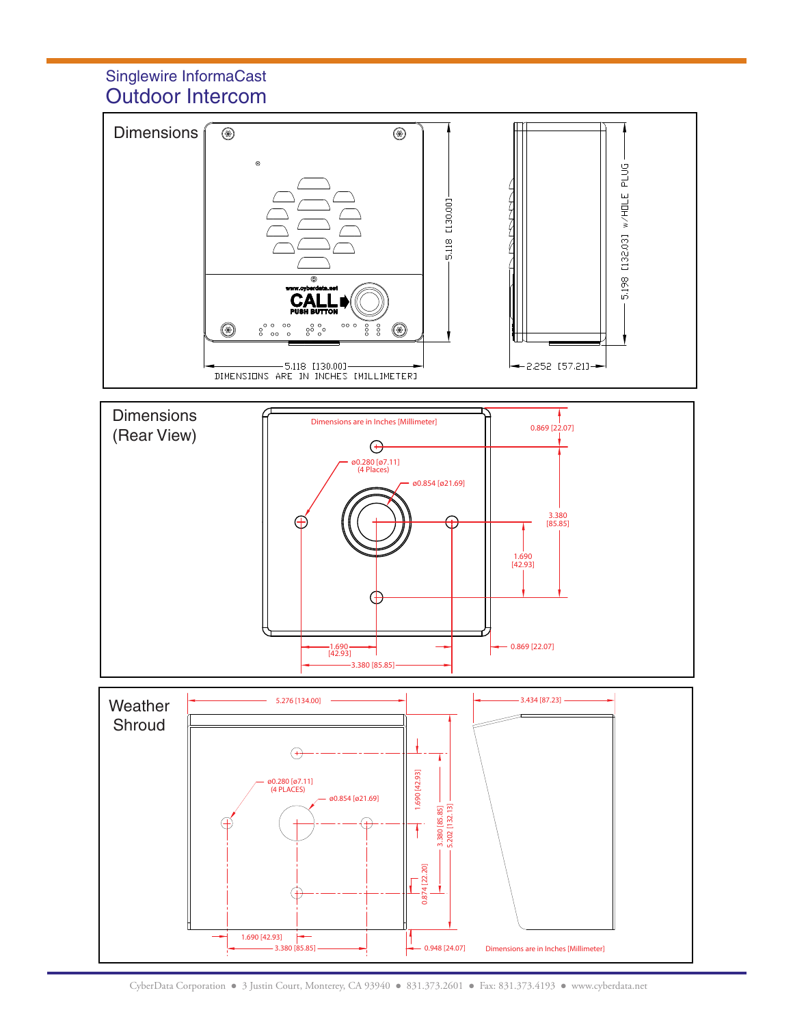## Outdoor Intercom Singlewire InformaCast